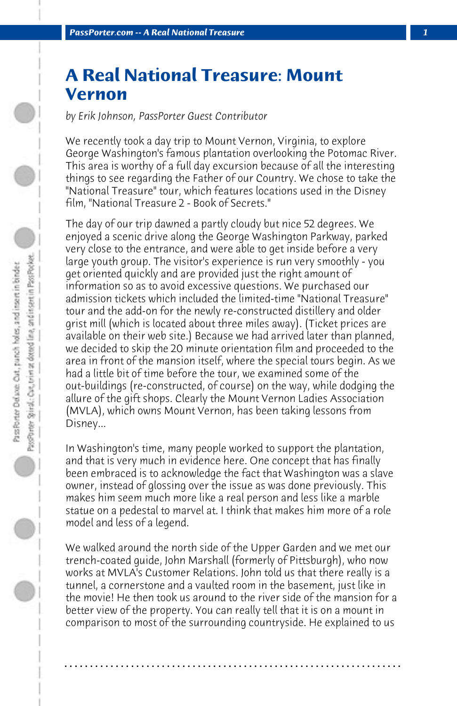## **A Real National Treasure: Mount Vernon**

*by Erik Johnson, PassPorter Guest Contributor*

We recently took a day trip to Mount Vernon, Virginia, to explore George Washington's famous plantation overlooking the Potomac River. This area is worthy of a full day excursion because of all the interesting things to see regarding the Father of our Country. We chose to take the "National Treasure" tour, which features locations used in the Disney film, "National Treasure 2 - Book of Secrets."

The day of our trip dawned a partly cloudy but nice 52 degrees. We enjoyed a scenic drive along the George Washington Parkway, parked very close to the entrance, and were able to get inside before a very large youth group. The visitor's experience is run very smoothly - you get oriented quickly and are provided just the right amount of information so as to avoid excessive questions. We purchased our admission tickets which included the limited-time "National Treasure" tour and the add-on for the newly re-constructed distillery and older grist mill (which is located about three miles away). (Ticket prices are available on their web site.) Because we had arrived later than planned, we decided to skip the 20 minute orientation film and proceeded to the area in front of the mansion itself, where the special tours begin. As we had a little bit of time before the tour, we examined some of the out-buildings (re-constructed, of course) on the way, while dodging the allure of the gift shops. Clearly the Mount Vernon Ladies Association (MVLA), which owns Mount Vernon, has been taking lessons from Disney...

In Washington's time, many people worked to support the plantation, and that is very much in evidence here. One concept that has finally been embraced is to acknowledge the fact that Washington was a slave owner, instead of glossing over the issue as was done previously. This makes him seem much more like a real person and less like a marble statue on a pedestal to marvel at. I think that makes him more of a role model and less of a legend.

We walked around the north side of the Upper Garden and we met our trench-coated guide, John Marshall (formerly of Pittsburgh), who now works at MVLA's Customer Relations. John told us that there really is a tunnel, a cornerstone and a vaulted room in the basement, just like in the movie! He then took us around to the river side of the mansion for a better view of the property. You can really tell that it is on a mount in comparison to most of the surrounding countryside. He explained to us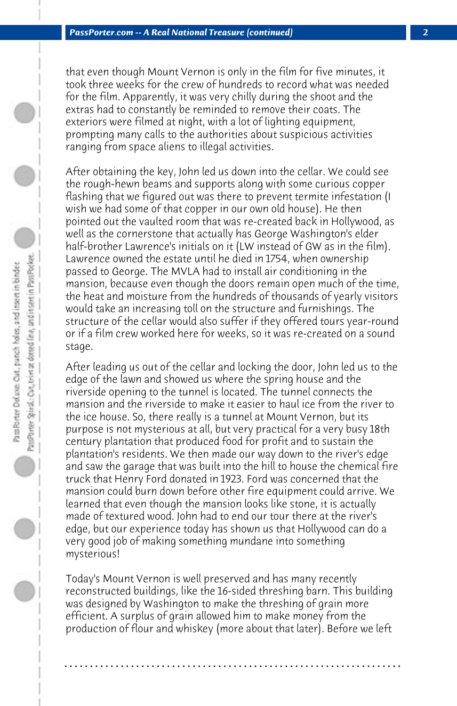that even though Mount Vernon is only in the film for five minutes, it took three weeks for the crew of hundreds to record what was needed for the film. Apparently, it was very chilly during the shoot and the extras had to constantly be reminded to remove their coats. The exteriors were filmed at night, with a lot of lighting equipment, prompting many calls to the authorities about suspicious activities ranging from space aliens to illegal activities.

After obtaining the key, John led us down into the cellar. We could see the rough-hewn beams and supports along with some curious copper flashing that we figured out was there to prevent termite infestation (I wish we had some of that copper in our own old house). He then pointed out the vaulted room that was re-created back in Hollywood, as well as the cornerstone that actually has George Washington's elder half-brother Lawrence's initials on it (LW instead of GW as in the film). Lawrence owned the estate until he died in 1754, when ownership passed to George. The MVLA had to install air conditioning in the mansion, because even though the doors remain open much of the time, the heat and moisture from the hundreds of thousands of yearly visitors would take an increasing toll on the structure and furnishings. The structure of the cellar would also suffer if they offered tours year-round or if a film crew worked here for weeks, so it was re-created on a sound stage.

After leading us out of the cellar and locking the door, John led us to the edge of the lawn and showed us where the spring house and the riverside opening to the tunnel is located. The tunnel connects the mansion and the riverside to make it easier to haul ice from the river to the ice house. So, there really is a tunnel at Mount Vernon, but its purpose is not mysterious at all, but very practical for a very busy 18th century plantation that produced food for profit and to sustain the plantation's residents. We then made our way down to the river's edge and saw the garage that was built into the hill to house the chemical fire truck that Henry Ford donated in 1923. Ford was concerned that the mansion could burn down before other fire equipment could arrive. We learned that even though the mansion looks like stone, it is actually made of textured wood. John had to end our tour there at the river's edge, but our experience today has shown us that Hollywood can do a very good job of making something mundane into something mysterious!

Today's Mount Vernon is well preserved and has many recently reconstructed buildings, like the 16-sided threshing barn. This building was designed by Washington to make the threshing of grain more efficient. A surplus of grain allowed him to make money from the production of flour and whiskey (more about that later). Before we left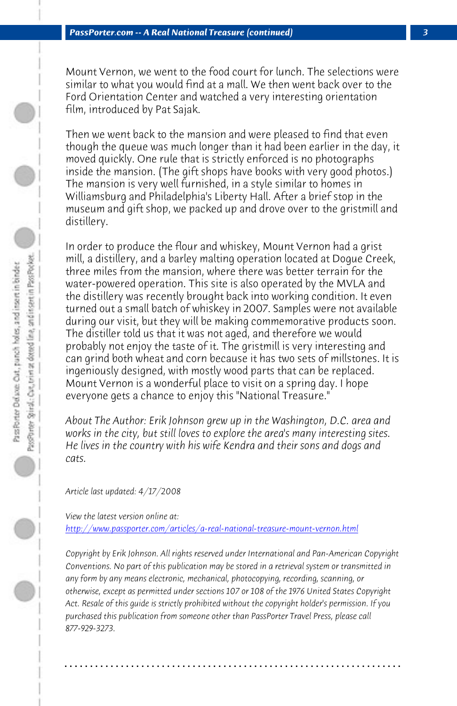*PassPorter.com -- A Real National Treasure (continued) 3*

Mount Vernon, we went to the food court for lunch. The selections were similar to what you would find at a mall. We then went back over to the Ford Orientation Center and watched a very interesting orientation film, introduced by Pat Sajak.

Then we went back to the mansion and were pleased to find that even though the queue was much longer than it had been earlier in the day, it moved quickly. One rule that is strictly enforced is no photographs inside the mansion. (The gift shops have books with very good photos.) The mansion is very well furnished, in a style similar to homes in Williamsburg and Philadelphia's Liberty Hall. After a brief stop in the museum and gift shop, we packed up and drove over to the gristmill and distillery.

In order to produce the flour and whiskey, Mount Vernon had a grist mill, a distillery, and a barley malting operation located at Dogue Creek, three miles from the mansion, where there was better terrain for the water-powered operation. This site is also operated by the MVLA and the distillery was recently brought back into working condition. It even turned out a small batch of whiskey in 2007. Samples were not available [during our visit, but they will be making commemorative produc](http://www.passporter.com/articles/a-real-national-treasure-mount-vernon.php)ts soon. The distiller told us that it was not aged, and therefore we would probably not enjoy the taste of it. The gristmill is very interesting and can grind both wheat and corn because it has two sets of millstones. It is ingeniously designed, with mostly wood parts that can be replaced. Mount Vernon is a wonderful place to visit on a spring day. I hope everyone gets a chance to enjoy this "National Treasure."

*About The Author: Erik Johnson grew up in the Washington, D.C. area and works in the city, but still loves to explore the area's many interesting sites. He lives in the country with his wife Kendra and their sons and dogs and cats.*

*Article last updated: 4/17/2008*

*View the latest version online at: http://www.passporter.com/articles/a-real-national-treasure-mount-vernon.html*

*Copyright by Erik Johnson. All rights reserved under International and Pan-American Copyright Conventions. No part of this publication may be stored in a retrieval system or transmitted in any form by any means electronic, mechanical, photocopying, recording, scanning, or otherwise, except as permitted under sections 107 or 108 of the 1976 United States Copyright Act. Resale of this guide is strictly prohibited without the copyright holder's permission. If you purchased this publication from someone other than PassPorter Travel Press, please call 877-929-3273.*